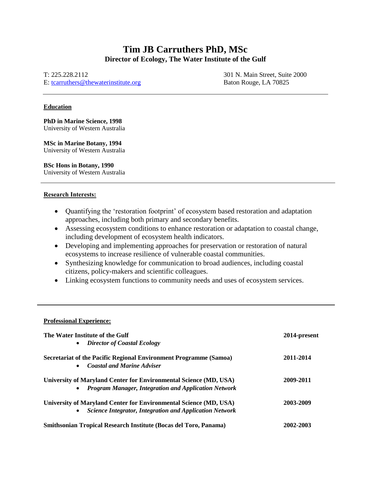# **Tim JB Carruthers PhD, MSc Director of Ecology, The Water Institute of the Gulf**

T: 225.228.2112

E: [tcarruthers@thewaterinstitute.org](mailto:tcarruthers@thewaterinstitute.org)

301 N. Main Street, Suite 2000 Baton Rouge, LA 70825

## **Education**

**PhD in Marine Science, 1998** University of Western Australia

**MSc in Marine Botany, 1994** University of Western Australia

**BSc Hons in Botany, 1990** University of Western Australia

## Research Interests:

- Quantifying the 'restoration footprint' of ecosystem based restoration and adaptation approaches, including both primary and secondary benefits.
- Assessing ecosystem conditions to enhance restoration or adaptation to coastal change, including development of ecosystem health indicators.
- Developing and implementing approaches for preservation or restoration of natural ecosystems to increase resilience of vulnerable coastal communities.
- Synthesizing knowledge for communication to broad audiences, including coastal citizens, policy-makers and scientific colleagues.
- Linking ecosystem functions to community needs and uses of ecosystem services.

### **Professional Experience:**

| The Water Institute of the Gulf<br><b>Director of Coastal Ecology</b><br>$\bullet$                                                               | 2014-present |
|--------------------------------------------------------------------------------------------------------------------------------------------------|--------------|
| <b>Secretariat of the Pacific Regional Environment Programme (Samoa)</b><br><b>Coastal and Marine Adviser</b><br>$\bullet$                       | 2011-2014    |
| University of Maryland Center for Environmental Science (MD, USA)<br><b>Program Manager, Integration and Application Network</b><br>$\bullet$    | 2009-2011    |
| University of Maryland Center for Environmental Science (MD, USA)<br><b>Science Integrator, Integration and Application Network</b><br>$\bullet$ | 2003-2009    |
| Smithsonian Tropical Research Institute (Bocas del Toro, Panama)                                                                                 | 2002-2003    |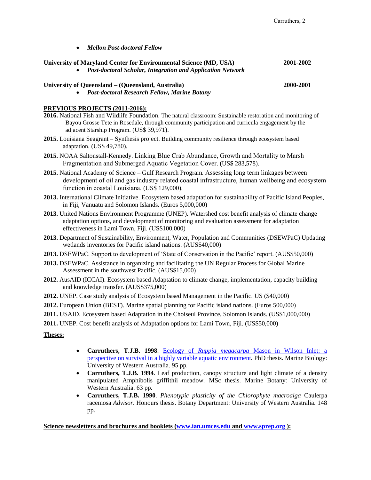| <b>Mellon Post-doctoral Fellow</b>                                                                                                                                                                                                                                                             |           |
|------------------------------------------------------------------------------------------------------------------------------------------------------------------------------------------------------------------------------------------------------------------------------------------------|-----------|
| University of Maryland Center for Environmental Science (MD, USA)<br>Post-doctoral Scholar, Integration and Application Network                                                                                                                                                                | 2001-2002 |
| University of Queensland - (Queensland, Australia)<br><b>Post-doctoral Research Fellow, Marine Botany</b>                                                                                                                                                                                      | 2000-2001 |
| PREVIOUS PROJECTS (2011-2016):<br>2016. National Fish and Wildlife Foundation. The natural classroom: Sustainable restoration and monitoring of<br>Bayou Grosse Tete in Rosedale, through community participation and curricula engagement by the<br>adjacent Starship Program. (US\$ 39,971). |           |
| 2015. Louisiana Seagrant – Synthesis project. Building community resilience through ecosystem based<br>adaptation. (US\$ 49,780).                                                                                                                                                              |           |
| 2015. NOAA Saltonstall-Kennedy. Linking Blue Crab Abundance, Growth and Mortality to Marsh<br>Fragmentation and Submerged Aquatic Vegetation Cover. (US\$ 283,578).                                                                                                                            |           |
| 2015. National Academy of Science - Gulf Research Program. Assessing long term linkages between<br>development of oil and gas industry related coastal infrastructure, human wellbeing and ecosystem<br>function in coastal Louisiana. (US\$ 129,000).                                         |           |
| 2013. International Climate Initiative. Ecosystem based adaptation for sustainability of Pacific Island Peoples,<br>in Fiji, Vanuatu and Solomon Islands. (Euros 5,000,000)                                                                                                                    |           |
| 2013. United Nations Environment Programme (UNEP). Watershed cost benefit analysis of climate change<br>adaptation options, and development of monitoring and evaluation assessment for adaptation<br>effectiveness in Lami Town, Fiji. (US\$100,000)                                          |           |
| 2013. Department of Sustainability, Environment, Water, Population and Communities (DSEWPaC) Updating<br>wetlands inventories for Pacific island nations. (AUS\$40,000)                                                                                                                        |           |
| 2013. DSEWPaC. Support to development of 'State of Conservation in the Pacific' report. (AUS\$50,000)                                                                                                                                                                                          |           |
| 2013. DSEWPaC. Assistance in organizing and facilitating the UN Regular Process for Global Marine<br>Assessment in the southwest Pacific. (AUS\$15,000)                                                                                                                                        |           |
| 2012. AusAID (ICCAI). Ecosystem based Adaptation to climate change, implementation, capacity building<br>and knowledge transfer. (AUS\$375,000)                                                                                                                                                |           |
| 2012. UNEP. Case study analysis of Ecosystem based Management in the Pacific. US (\$40,000)                                                                                                                                                                                                    |           |
| 2012. European Union (BEST). Marine spatial planning for Pacific island nations. (Euros 500,000)                                                                                                                                                                                               |           |
| 2011. USAID. Ecosystem based Adaptation in the Choiseul Province, Solomon Islands. (US\$1,000,000)                                                                                                                                                                                             |           |

**2011.** UNEP. Cost benefit analysis of Adaptation options for Lami Town, Fiji. (US\$50,000)

## **Theses:**

- **Carruthers, T.J.B. 1998**. Ecology of *Ruppia megacarpa* [Mason in Wilson Inlet: a](http://ian.umces.edu/myianpwresources/pubs/tim_pdfs/carruthers_phd.pdf)  [perspective on survival in a highly variable aquatic environment](http://ian.umces.edu/myianpwresources/pubs/tim_pdfs/carruthers_phd.pdf)*.* PhD thesis. Marine Biology: University of Western Australia. 95 pp*.*
- **Carruthers, T.J.B. 1994**. Leaf production, canopy structure and light climate of a density manipulated Amphibolis griffithii meadow*.* MSc thesis. Marine Botany: University of Western Australia. 63 pp*.*
- **Carruthers, T.J.B. 1990**. *Phenotypic plasticity of the Chlorophyte macroalga* Caulerpa racemosa *Advisor*. Honours thesis. Botany Department: University of Western Australia. 148 pp*.*

**Science newsletters and brochures and booklets [\(www.ian.umces.edu](http://www.ian.umces.edu/) an[d www.sprep.org](http://www.sprep.org/) ):**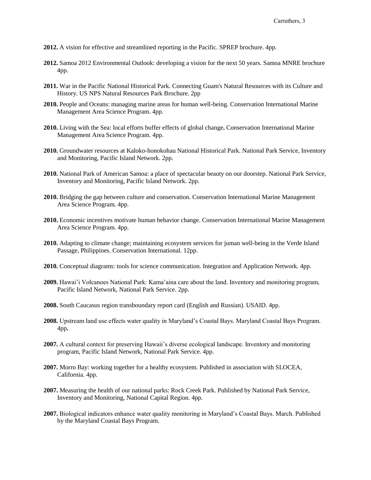- **2012.** A vision for effective and streamlined reporting in the Pacific. SPREP brochure. 4pp.
- **2012.** Samoa 2012 Environmental Outlook: developing a vision for the next 50 years. Samoa MNRE brochure 4pp.
- **2011.** War in the Pacific National Historical Park. Connecting Guam's Natural Resources with its Culture and History. US NPS Natural Resources Park Brochure. 2pp
- **2010.** People and Oceans: managing marine areas for human well-being. Conservation International Marine Management Area Science Program. 4pp.
- **2010.** Living with the Sea: local efforts buffer effects of global change**.** Conservation International Marine Management Area Science Program. 4pp.
- **2010.** Groundwater resources at Kaloko-honokohau National Historical Park. National Park Service, Inventory and Monitoring, Pacific Island Network. 2pp.
- **2010.** National Park of American Samoa: a place of spectacular beauty on our doorstep. National Park Service, Inventory and Monitoring, Pacific Island Network. 2pp.
- **2010.** Bridging the gap between culture and conservation. Conservation International Marine Management Area Science Program. 4pp.
- **2010.** Economic incentives motivate human behavior change. Conservation International Marine Management Area Science Program. 4pp.
- **2010.** Adapting to climate change; maintaining ecosystem services for juman well-being in the Verde Island Passage, Philippines. Conservation International. 12pp.
- **2010.** Conceptual diagrams: tools for science communication. Integration and Application Network. 4pp.
- **2009.** Hawai'i Volcanoes National Park: Kama'aina care about the land. Inventory and monitoring program, Pacific Island Network, National Park Service. 2pp.
- **2008.** South Caucasus region transboundary report card (English and Russian). USAID. 4pp.
- **2008.** Upstream land use effects water quality in Maryland's Coastal Bays. Maryland Coastal Bays Program. 4pp**.**
- **2007.** A cultural context for preserving Hawaii's diverse ecological landscape. Inventory and monitoring program, Pacific Island Network, National Park Service. 4pp.
- **2007.** Morro Bay: working together for a healthy ecosystem. Published in association with SLOCEA, California. 4pp.
- **2007.** Measuring the health of our national parks: Rock Creek Park. Published by National Park Service, Inventory and Monitoring, National Capital Region. 4pp.
- **2007.** Biological indicators enhance water quality monitoring in Maryland's Coastal Bays. March. Published by the Maryland Coastal Bays Program.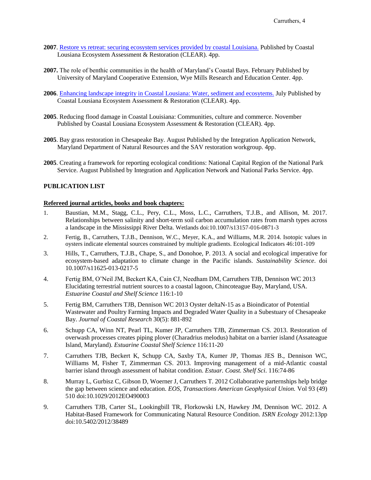- **2007**. [Restore vs retreat: securing ecosystem services provided by coastal Louisiana.](http://ian.umces.edu/pdfs/iannewsletter15.pdf) Published by Coastal Lousiana Ecosystem Assessment & Restoration (CLEAR). 4pp.
- **2007.** The role of benthic communities in the health of Maryland's Coastal Bays. February Published by University of Maryland Cooperative Extension, Wye Mills Research and Education Center. 4pp.
- **2006**. [Enhancing landscape integrity in Coastal Lousiana: Water, sediment and ecosytems.](http://ian.umces.edu/pdfs/iannewsletter15.pdf) July Published by Coastal Lousiana Ecosystem Assessment & Restoration (CLEAR). 4pp.
- **2005**. Reducing flood damage in Coastal Louisiana: Communities, culture and commerce. November Published by Coastal Lousiana Ecosystem Assessment & Restoration (CLEAR). 4pp.
- **2005**. Bay grass restoration in Chesapeake Bay. August Published by the Integration Application Network, Maryland Department of Natural Resources and the SAV restoration workgroup. 4pp.
- **2005**. Creating a framework for reporting ecological conditions: National Capital Region of the National Park Service. August Published by Integration and Application Network and National Parks Service. 4pp.

### **PUBLICATION LIST**

### **Refereed journal articles, books and book chapters:**

- 1. Baustian, M.M., Stagg, C.L., Pery, C.L., Moss, L.C., Carruthers, T.J.B., and Allison, M. 2017. Relationships between salinity and short-term soil carbon accumulation rates from marsh types across a landscape in the Mississippi River Delta. Wetlands doi:10.1007/s13157-016-0871-3
- 2. Fertig, B., Carruthers, T.J.B., Dennison, W.C., Meyer, K.A., and Williams, M.R. 2014. Isotopic values in oysters indicate elemental sources constrained by multiple gradients. Ecological Indicators 46:101-109
- 3. Hills, T., Carruthers, T.J.B., Chape, S., and Donohoe, P. 2013. A social and ecological imperative for ecosystem-based adaptation to climate change in the Pacific islands. *Sustainability Science*. doi 10.1007/s11625-013-0217-5
- 4. Fertig BM, O'Neil JM, Beckert KA, Cain CJ, Needham DM, Carruthers TJB, Dennison WC 2013 Elucidating terrestrial nutrient sources to a coastal lagoon, Chincoteague Bay, Maryland, USA. *Estuarine Coastal and Shelf Science* 116:1-10
- 5. Fertig BM, Carruthers TJB, Dennison WC 2013 Oyster deltaN-15 as a Bioindicator of Potential Wastewater and Poultry Farming Impacts and Degraded Water Quality in a Subestuary of Chesapeake Bay. *Journal of Coastal Research* 30(5): 881-892
- 6. Schupp CA, Winn NT, Pearl TL, Kumer JP, Carruthers TJB, Zimmerman CS. 2013. Restoration of overwash processes creates piping plover (Charadrius melodus) habitat on a barrier island (Assateague Island, Maryland). *Estuarine Coastal Shelf Science* 116:11-20
- 7. Carruthers TJB, Beckert K, Schupp CA, Saxby TA, Kumer JP, Thomas JES B., Dennison WC, Williams M, Fisher T, Zimmerman CS. 2013. Improving management of a mid-Atlantic coastal barrier island through assessment of habitat condition. *Estuar. Coast. Shelf Sci*. 116:74-86
- 8. Murray L, Gurbisz C, Gibson D, Woerner J, Carruthers T. 2012 Collaborative parternships help bridge the gap between science and education. *EOS, Transactions American Geophysical Union.* Vol 93 (49) 510 doi:10.1029/2012EO490003
- 9. Carruthers TJB, Carter SL, Lookingbill TR, Florkowski LN, Hawkey JM, Dennison WC. 2012. A Habitat-Based Framework for Communicating Natural Resource Condition. *ISRN Ecology* 2012:13pp doi:10.5402/2012/38489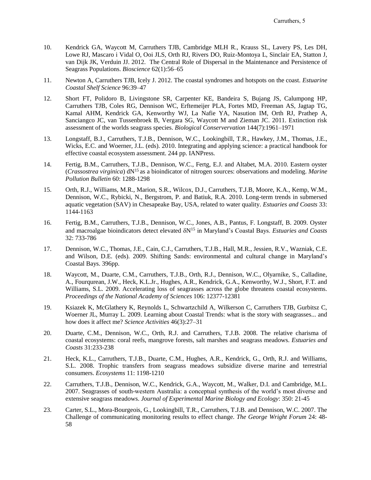- 10. Kendrick GA, Waycott M, Carruthers TJB, Cambridge MLH R., Krauss SL, Lavery PS, Les DH, Lowe RJ, Mascaro i Vidal O, Ooi JLS, Orth RJ, Rivers DO, Ruiz-Montoya L, Sinclair EA, Statton J, van Dijk JK, Verduin JJ. 2012. The Central Role of Dispersal in the Maintenance and Persistence of Seagrass Populations. *Bioscience* 62(1):56–65
- 11. Newton A, Carruthers TJB, Icely J. 2012. The coastal syndromes and hotspots on the coast. *Estuarine Coastal Shelf Science* 96:39–47
- 12. Short FT, Polidoro B, Livingstone SR, Carpenter KE, Bandeira S, Bujang JS, Calumpong HP, Carruthers TJB, Coles RG, Dennison WC, Erftemeijer PLA, Fortes MD, Freeman AS, Jagtap TG, Kamal AHM, Kendrick GA, Kenworthy WJ, La Nafie YA, Nasution IM, Orth RJ, Prathep A, Sanciangco JC, van Tussenbroek B, Vergara SG, Waycott M and Zieman JC. 2011. Extinction risk assessment of the worlds seagrass species. *Biological Conservervation* 144(7):1961–1971
- 13. Longstaff, B.J., Carruthers, T.J.B., Dennison, W.C., Lookingbill, T.R., Hawkey, J.M., Thomas, J.E., Wicks, E.C. and Woerner, J.L. (eds). 2010. Integrating and applying science: a practical handbook for effective coastal ecosystem assessment. 244 pp. IANPress.
- 14. Fertig, B.M., Carruthers, T.J.B., Dennison, W.C., Fertg, E.J. and Altabet, M.A. 2010. Eastern oyster (*Crassostrea virginica*) dN<sup>15</sup>as a bioindicator of nitrogen sources: observations and modeling. *Marine Pollution Bulletin* 60: 1288-1298
- 15. Orth, R.J., Williams, M.R., Marion, S.R., Wilcox, D.J., Carruthers, T.J.B, Moore, K.A., Kemp, W.M., Dennison, W.C., Rybicki, N., Bergstrom, P. and Batiuk, R.A. 2010. Long-term trends in submersed aquatic vegetation (SAV) in Chesapeake Bay, USA, related to water quality. *Estuaries and Coasts* 33: 1144-1163
- 16. Fertig, B.M., Carruthers, T.J.B., Dennison, W.C., Jones, A.B., Pantus, F. Longstaff, B. 2009. Oyster and macroalgae bioindicators detect elevated  $\delta N^{15}$  in Maryland's Coastal Bays. *Estuaries and Coasts* 32: 733-786
- 17. Dennison, W.C., Thomas, J.E., Cain, C.J., Carruthers, T.J.B., Hall, M.R., Jessien, R.V., Wazniak, C.E. and Wilson, D.E. (eds). 2009. Shifting Sands: environmental and cultural change in Maryland's Coastal Bays. 396pp.
- 18. Waycott, M., Duarte, C.M., Carruthers, T.J.B., Orth, R.J., Dennison, W.C., Olyarnike, S., Calladine, A., Fourqurean, J.W., Heck, K.L.Jr., Hughes, A.R., Kendrick, G.A., Kenworthy, W.J., Short, F.T. and Williams, S.L. 2009. Accelerating loss of seagrasses across the globe threatens coastal ecosystems. *Proceedings of the National Academy of Sciences* 106: 12377-12381
- 19. Ksiazek K, McGlathery K, Reynolds L, Schwartzchild A, Wilkerson C, Carruthers TJB, Gurbitsz C, Woerner JL, Murray L. 2009. Learning about Coastal Trends: what is the story with seagrasses... and how does it affect me? *Science Activities* 46(3):27–31
- 20. Duarte, C.M., Dennison, W.C., Orth, R.J. and Carruthers, T.J.B. 2008. The relative charisma of coastal ecosystems: coral reefs, mangrove forests, salt marshes and seagrass meadows. *Estuaries and Coasts* 31:233-238
- 21. Heck, K.L., Carruthers, T.J.B., Duarte, C.M., Hughes, A.R., Kendrick, G., Orth, R.J. and Williams, S.L. 2008. Trophic transfers from seagrass meadows subsidize diverse marine and terrestrial consumers. *Ecosystems* 11: 1198-1210
- 22. Carruthers, T.J.B., Dennison, W.C., Kendrick, G.A., Waycott, M., Walker, D.I. and Cambridge, M.L. 2007. Seagrasses of south-western Australia: a conceptual synthesis of the world's most diverse and extensive seagrass meadows. *Journal of Experimental Marine Biology and Ecology*: 350: 21-45
- 23. Carter, S.L., Mora-Bourgeois, G., Lookingbill, T.R., Carruthers, T.J.B. and Dennison, W.C. 2007. The Challenge of communicating monitoring results to effect change. *The George Wright Forum* 24: 48- 58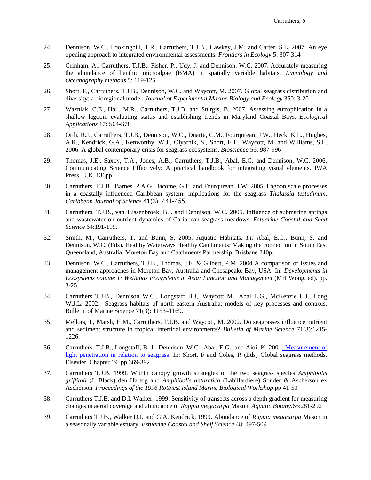- 24. Dennison, W.C., Lookingbill, T.R., Carruthers, T.J.B., Hawkey, J.M. and Carter, S.L. 2007. An eye opening approach to integrated environmental assessments. *Frontiers in Ecology* 5: 307-314
- 25. Grinham, A., Carruthers, T.J.B., Fisher, P., Udy, J. and Dennison, W.C. 2007. Accurately measuring the abundance of benthic microalgae (BMA) in spatially variable habitats. *Limnology and Oceanography methods* 5: 119-125
- 26. Short, F., Carruthers, T.J.B., Dennison, W.C. and Waycott, M. 2007. Global seagrass distribution and diversity: a bioregional model. *Journal of Experimental Marine Biology and Ecology* 350: 3-20
- 27. Wazniak, C.E., Hall, M.R., Carruthers, T.J.B. and Sturgis, B. 2007. Assessing eutrophication in a shallow lagoon: evaluating status and establishing trends in Maryland Coastal Bays. *Ecological Applications* 17: S64-S78
- 28. Orth, R.J., Carruthers, T.J.B., Dennison, W.C., Duarte, C.M., Fourqurean, J.W., Heck, K.L., Hughes, A.R., Kendrick, G.A., Kenworthy, W.J., Olyarnik, S., Short, F.T., Waycott, M. and Williams, S.L. 2006. A global contemporary crisis for seagrass ecosystems. *Bioscience* 56: 987-996
- 29. Thomas, J.E., Saxby, T.A., Jones, A.B., Carruthers, T.J.B., Abal, E.G. and Dennison, W.C. 2006. Communicating Science Effectively: A practical handbook for integrating visual elements. IWA Press, U.K. 136pp.
- 30. Carruthers, T.J.B., Barnes, P.A.G., Jacome, G.E. and Fourqurean, J.W. 2005. Lagoon scale processes in a coastally influenced Caribbean system: implications for the seagrass *Thalassia testudinum*. *Caribbean Journal of Science* 41(3), 441-455.
- 31. Carruthers, T.J.B., van Tussenbroek, B.I. and Dennison, W.C. 2005. Influence of submarine springs and wastewater on nutrient dynamics of Caribbean seagrass meadows. *Estuarine Coastal and Shelf Science* 64:191-199.
- 32. Smith, M., Carruthers, T. and Bunn, S. 2005. Aquatic Habitats. *In*: Abal, E.G., Bunn, S. and Dennison, W.C. (Eds). Healthy Waterways Healthy Catchments: Making the connection in South East Queensland, Australia. Moreton Bay and Catchments Partnership, Brisbane 240p.
- 33. Dennison, W.C., Carruthers, T.J.B., Thomas, J.E. & Glibert, P.M. 2004 A comparison of issues and management approaches in Moreton Bay, Australia and Chesapeake Bay, USA. In: *Developments in Ecosystems volume 1: Wetlands Ecosystems in Asia: Function and Management* (MH Wong, ed). pp. 3-25.
- 34. Carruthers T.J.B., Dennison W.C., Longstaff B.J,. Waycott M., Abal E.G., McKenzie L.J., Long W.J.L. 2002. Seagrass habitats of north eastern Australia: models of key processes and controls. Bulletin of Marine Science 71(3): 1153–1169.
- 35. Mellors, J., Marsh, H.M., Carruthers, T.J.B. and Waycott, M. 2002. Do seagrasses influence nutrient and sediment structure in tropical intertidal environments? *Bulletin of Marine Science* 71(3):1215- 1226.
- 36. Carruthers, T.J.B., Longstaff, B. J., Dennison, W.C., Abal, E.G., and Aioi, K. 200[1. Measurement of](http://ian.umces.edu/myianpwresources/pubs/tim_pdfs/carruthers_et_al_gsm_2001.pdf)  [light penetration in relation to seagrass.](http://ian.umces.edu/myianpwresources/pubs/tim_pdfs/carruthers_et_al_gsm_2001.pdf) In: Short, F and Coles, R (Eds) Global seagrass methods. Elsevier. Chapter 19. pp 369-392.
- 37. Carruthers T.J.B. 1999. Within canopy growth strategies of the two seagrass species *Amphibolis griffithii* (J. Black) den Hartog and *Amphibolis antarctica* (Labillardiere) Sonder & Ascherson ex Ascherson. *Proceedings of the 1996 Rottnest Island Marine Biological Workshop*.pp 41-50
- 38. Carruthers T.J.B. and D.I. Walker. 1999. Sensitivity of transects across a depth gradient for measuring changes in aerial coverage and abundance of *Ruppia megacarpa* Mason. *Aquatic Botany*.65:281-292
- 39. Carruthers T.J.B., Walker D.I. and G.A. Kendrick. 1999. Abundance of *Ruppia megacarpa* Mason in a seasonally variable estuary. *Estuarine Coastal and Shelf Science* 48: 497-509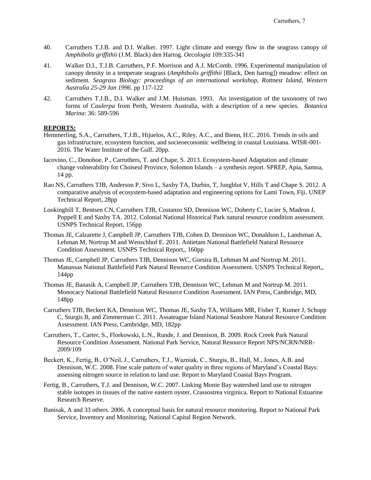- 40. Carruthers T.J.B. and D.I. Walker. 1997. Light climate and energy flow in the seagrass canopy of *Amphibolis griffithii* (J.M. Black) den Hartog. *Oecologia* 109:335-341
- 41. Walker D.I., T.J.B. Carruthers, P.F. Morrison and A.J. McComb. 1996. Experimental manipulation of canopy density in a temperate seagrass (*Amphibolis griffithii* [Black, Den hartog]) meadow: effect on sediment. *Seagrass Biology: proceedings of an international workshop, Rottnest Island, Western Australia 25-29 Jan 1996*. pp 117-122
- 42. Carruthers T.J.B., D.I. Walker and J.M. Huisman. 1993. An investigation of the taxonomy of two forms of *Caulerpa* from Perth, Western Australia, with a description of a new species. *Botanica Marina*: 36: 589-596

#### **REPORTS:**

- Hemmerling, S.A., Carruthers, T.J.B., Hijuelos, A.C., Riley, A.C., and Bienn, H.C. 2016. Trends in oils and gas infrastructure, ecosystem function, and socieoeconomic wellbeing in coastal Louisiana. WISR-001- 2016. The Water Institute of the Gulf. 20pp.
- Iacovino, C., Donohoe, P., Carruthers, T. and Chape, S. 2013. Ecosystem-based Adaptation and climate change vulnerability for Choiseul Province, Solomon Islands – a synthesis report. SPREP, Apia, Samoa, 14 pp.
- Rao NS, Carruthers TJB, Anderson P, Sivo L, Saxby TA, Durbin, T, Jungblut V, Hills T and Chape S. 2012. A comparative analysis of ecosystem-based adaptation and engineering options for Lami Town, Fiji. UNEP Technical Report, 28pp
- Lookingbill T, Bentsen CN, Carruthers TJB, Costanzo SD, Dennison WC, Doherty C, Lucier S, Madron J, Poppell E and Saxby TA. 2012. Colonial National Historical Park natural resource condition assessment. USNPS Technical Report, 156pp
- Thomas JE, Calzarette J, Campbell JP, Carruthers TJB, Cohen D, Dennison WC, Donaldson L, Landsman A, Lehman M, Nortrup M and Wenschhof E. 2011. Antietam National Battlefield Natural Resource Condition Assessment. USNPS Technical Report,, 160pp
- Thomas JE, Campbell JP, Carruthers TJB, Dennison WC, Gorsira B, Lehman M and Nortrup M. 2011. Manassas National Battlefield Park Natural Resource Condition Assessment. USNPS Technical Report,, 144pp
- Thomas JE, Banasik A, Campbell JP, Carruthers TJB, Dennison WC, Lehman M and Nortrup M. 2011. Monocacy National Battlefield Natural Resource Condition Assessment. IAN Press, Cambridge, MD, 148pp
- Carruthers TJB, Beckert KA, Dennison WC, Thomas JE, Saxby TA, Williams MR, Fisher T, Kumer J, Schupp C, Sturgis B, and Zimmerman C. 2011. Assateague Island National Seashore Natural Resource Condition Assessment. IAN Press, Cambridge, MD, 182pp
- Carruthers, T., Carter, S., Florkowski, L.N., Runde, J. and Dennison, B. 2009. Rock Creek Park Natural Resource Condition Assessment. National Park Service, Natural Resource Report NPS/NCRN/NRR-2009/109
- Beckert, K., Fertig, B., O'Neil, J., Carruthers, T.J., Wazniak, C., Sturgis, B., Hall, M., Jones, A.B. and Dennison, W.C. 2008. Fine scale pattern of water quality in three regions of Maryland's Coastal Bays: assessing nitrogen source in relation to land use. Report to Maryland Coastal Bays Program.
- Fertig, B., Carruthers, T.J. and Dennison, W.C. 2007. Linking Monie Bay watershed land use to nitrogen stable isotopes in tissues of the native eastern oyster, Crassostrea virginica. Report to National Estuarine Research Reserve.
- Banisak, A and 33 others. 2006. A conceptual basis for natural resource monitoring. Report to National Park Service, Inventory and Monitoring, National Capital Region Network.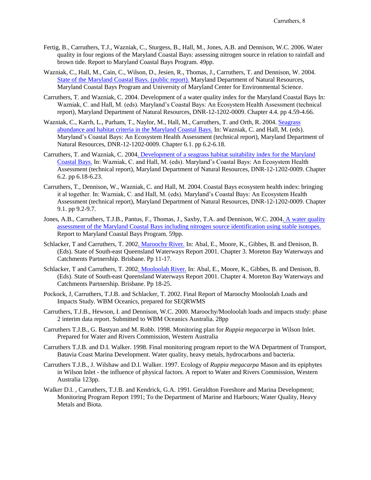- Fertig, B., Carruthers, T.J., Wazniak, C., Sturgess, B., Hall, M., Jones, A.B. and Dennison, W.C. 2006. Water quality in four regions of the Maryland Coastal Bays: assessing nitrogen source in relation to rainfall and brown tide. Report to Maryland Coastal Bays Program. 49pp.
- Wazniak, C., Hall, M., Cain, C., Wilson, D., Jesien, R., Thomas, J., Carruthers, T. and Dennison, W. 2004. [State of the Maryland Coastal Bays. \(public report\).](http://ian.umces.edu/pdfs/mcb.pdf) Maryland Department of Natural Resources, Maryland Coastal Bays Program and University of Maryland Center for Environmental Science.
- Carruthers, T. and Wazniak, C. 2004. Development of a water quality index for the Maryland Coastal Bays In: Wazniak, C. and Hall, M. (eds). Maryland's Coastal Bays: An Ecosystem Health Assessment (technical report), Maryland Department of Natural Resources, DNR-12-1202-0009. Chapter 4.4. pp 4.59-4.66.
- Wazniak, C., Karrh, L., Parham, T., Naylor, M., Hall, M., Carruthers, T. and Orth, R. 2004. [Seagrass](http://www.dnr.maryland.gov/coastalbays/publications/Chapter6.1.pdf)  [abundance and habitat criteria in the Maryland Coastal Bays.](http://www.dnr.maryland.gov/coastalbays/publications/Chapter6.1.pdf) In: Wazniak, C. and Hall, M. (eds). Maryland's Coastal Bays: An Ecosystem Health Assessment (technical report), Maryland Department of Natural Resources, DNR-12-1202-0009. Chapter 6.1. pp 6.2-6.18.
- Carruthers, T. and Wazniak, C. 200[4. Development of a seagrass habitat suitability index for the Maryland](http://www.dnr.maryland.gov/coastalbays/publications/Chapter6.2.pdf)  [Coastal Bays.](http://www.dnr.maryland.gov/coastalbays/publications/Chapter6.2.pdf) In: Wazniak, C. and Hall, M. (eds). Maryland's Coastal Bays: An Ecosystem Health Assessment (technical report), Maryland Department of Natural Resources, DNR-12-1202-0009. Chapter 6.2. pp 6.18-6.23.
- Carruthers, T., Dennison, W., Wazniak, C. and Hall, M. 2004. Coastal Bays ecosystem health index: bringing it al together. In: Wazniak, C. and Hall, M. (eds). Maryland's Coastal Bays: An Ecosystem Health Assessment (technical report), Maryland Department of Natural Resources, DNR-12-1202-0009. Chapter 9.1. pp 9.2-9.7.
- Jones, A.B., Carruthers, T.J.B., Pantus, F., Thomas, J., Saxby, T.A. and Dennison, W.C. 200[4. A water quality](http://ian.umces.edu/pdfs/md_coastal_bays_report.pdf)  [assessment of the Maryland Coastal Bays including nitrogen source identification using stable isotopes.](http://ian.umces.edu/pdfs/md_coastal_bays_report.pdf) Report to Maryland Coastal Bays Program. 59pp.
- Schlacker, T and Carruthers, T. 200[2. Maroochy River.](http://ian.umces.edu/myianpwresources/pubs/tim_pdfs/maroochy.pdf) In: Abal, E., Moore, K., Gibbes, B. and Denison, B. (Eds). State of South-east Queensland Waterways Report 2001. Chapter 3. Moreton Bay Waterways and Catchments Partnership. Brisbane. Pp 11-17.
- Schlacker, T and Carruthers, T. 200[2. Mooloolah River.](http://ian.umces.edu/myianpwresources/pubs/tim_pdfs/mooloolah.pdf) In: Abal, E., Moore, K., Gibbes, B. and Denison, B. (Eds). State of South-east Queensland Waterways Report 2001. Chapter 4. Moreton Bay Waterways and Catchments Partnership. Brisbane. Pp 18-25.
- Pockock, J, Carruthers, T.J.B. and Schlacker, T. 2002. Final Report of Maroochy Mooloolah Loads and Impacts Study. WBM Oceanics, prepared for SEQRWMS
- Carruthers, T.J.B., Hewson, I. and Dennison, W.C. 2000. Maroochy/Mooloolah loads and impacts study: phase 2 interim data report. Submitted to WBM Oceanics Australia. 28pp
- Carruthers T.J.B., G. Bastyan and M. Robb. 1998. Monitoring plan for *Ruppia megacarpa* in Wilson Inlet. Prepared for Water and Rivers Commission, Western Australia
- Carruthers T.J.B. and D.I. Walker. 1998. Final monitoring program report to the WA Department of Transport, Batavia Coast Marina Development. Water quality, heavy metals, hydrocarbons and bacteria.
- Carruthers T.J.B., J. Wilshaw and D.I. Walker. 1997. Ecology of *Ruppia megacarpa* Mason and its epiphytes in Wilson Inlet - the influence of physical factors. A report to Water and Rivers Commission, Western Australia 123pp.
- Walker D.I. , Carruthers, T.J.B. and Kendrick, G.A. 1991. Geraldton Foreshore and Marina Development; Monitoring Program Report 1991; To the Department of Marine and Harbours; Water Quality, Heavy Metals and Biota.